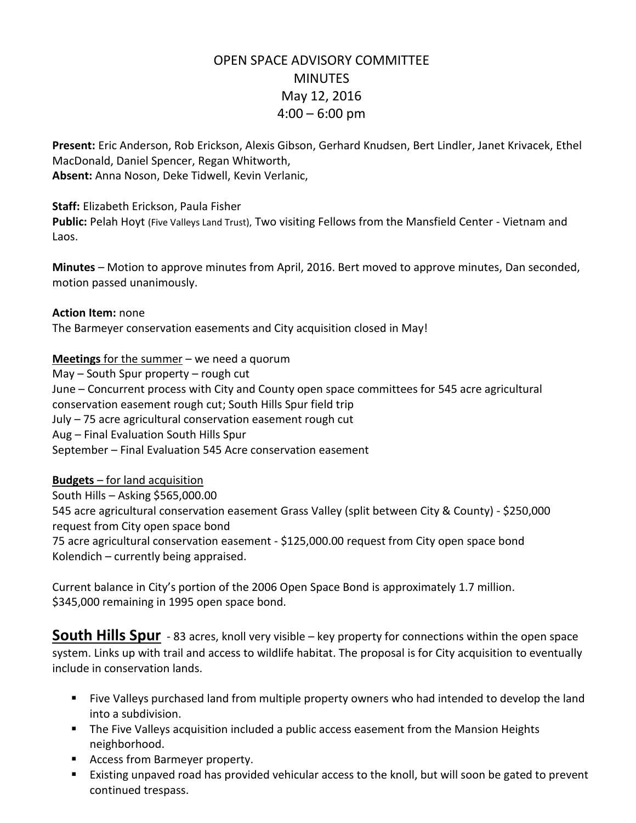# OPEN SPACE ADVISORY COMMITTEE **MINUTES** May 12, 2016  $4:00 - 6:00$  pm

**Present:** Eric Anderson, Rob Erickson, Alexis Gibson, Gerhard Knudsen, Bert Lindler, Janet Krivacek, Ethel MacDonald, Daniel Spencer, Regan Whitworth, **Absent:** Anna Noson, Deke Tidwell, Kevin Verlanic,

**Staff:** Elizabeth Erickson, Paula Fisher

**Public:** Pelah Hoyt (Five Valleys Land Trust), Two visiting Fellows from the Mansfield Center - Vietnam and Laos.

**Minutes** – Motion to approve minutes from April, 2016. Bert moved to approve minutes, Dan seconded, motion passed unanimously.

**Action Item:** none The Barmeyer conservation easements and City acquisition closed in May!

**Meetings** for the summer – we need a quorum

May – South Spur property – rough cut June – Concurrent process with City and County open space committees for 545 acre agricultural conservation easement rough cut; South Hills Spur field trip July – 75 acre agricultural conservation easement rough cut Aug – Final Evaluation South Hills Spur September – Final Evaluation 545 Acre conservation easement

**Budgets** – for land acquisition

South Hills – Asking \$565,000.00 545 acre agricultural conservation easement Grass Valley (split between City & County) - \$250,000 request from City open space bond 75 acre agricultural conservation easement - \$125,000.00 request from City open space bond Kolendich – currently being appraised.

Current balance in City's portion of the 2006 Open Space Bond is approximately 1.7 million. \$345,000 remaining in 1995 open space bond.

**South Hills Spur** - 83 acres, knoll very visible – key property for connections within the open space system. Links up with trail and access to wildlife habitat. The proposal is for City acquisition to eventually include in conservation lands.

- Five Valleys purchased land from multiple property owners who had intended to develop the land into a subdivision.
- **The Five Valleys acquisition included a public access easement from the Mansion Heights** neighborhood.
- **Access from Barmeyer property.**
- Existing unpaved road has provided vehicular access to the knoll, but will soon be gated to prevent continued trespass.